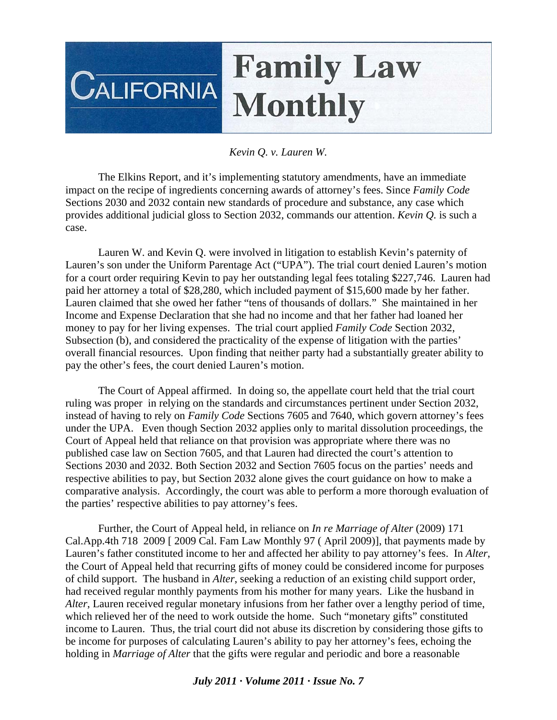## **Family Law CALIFORNIA Monthly**

## *Kevin Q. v. Lauren W.*

 The Elkins Report, and it's implementing statutory amendments, have an immediate impact on the recipe of ingredients concerning awards of attorney's fees. Since *Family Code*  Sections 2030 and 2032 contain new standards of procedure and substance, any case which provides additional judicial gloss to Section 2032, commands our attention. *Kevin Q.* is such a case.

 Lauren W. and Kevin Q. were involved in litigation to establish Kevin's paternity of Lauren's son under the Uniform Parentage Act ("UPA"). The trial court denied Lauren's motion for a court order requiring Kevin to pay her outstanding legal fees totaling \$227,746. Lauren had paid her attorney a total of \$28,280, which included payment of \$15,600 made by her father. Lauren claimed that she owed her father "tens of thousands of dollars." She maintained in her Income and Expense Declaration that she had no income and that her father had loaned her money to pay for her living expenses. The trial court applied *Family Code* Section 2032, Subsection (b), and considered the practicality of the expense of litigation with the parties' overall financial resources. Upon finding that neither party had a substantially greater ability to pay the other's fees, the court denied Lauren's motion.

 The Court of Appeal affirmed. In doing so, the appellate court held that the trial court ruling was proper in relying on the standards and circumstances pertinent under Section 2032, instead of having to rely on *Family Code* Sections 7605 and 7640, which govern attorney's fees under the UPA. Even though Section 2032 applies only to marital dissolution proceedings, the Court of Appeal held that reliance on that provision was appropriate where there was no published case law on Section 7605, and that Lauren had directed the court's attention to Sections 2030 and 2032. Both Section 2032 and Section 7605 focus on the parties' needs and respective abilities to pay, but Section 2032 alone gives the court guidance on how to make a comparative analysis. Accordingly, the court was able to perform a more thorough evaluation of the parties' respective abilities to pay attorney's fees.

 Further, the Court of Appeal held, in reliance on *In re Marriage of Alter* (2009) 171 Cal.App.4th 718 2009 [ 2009 Cal. Fam Law Monthly 97 ( April 2009)], that payments made by Lauren's father constituted income to her and affected her ability to pay attorney's fees. In *Alter*, the Court of Appeal held that recurring gifts of money could be considered income for purposes of child support. The husband in *Alter*, seeking a reduction of an existing child support order, had received regular monthly payments from his mother for many years. Like the husband in *Alter*, Lauren received regular monetary infusions from her father over a lengthy period of time, which relieved her of the need to work outside the home. Such "monetary gifts" constituted income to Lauren. Thus, the trial court did not abuse its discretion by considering those gifts to be income for purposes of calculating Lauren's ability to pay her attorney's fees, echoing the holding in *Marriage of Alter* that the gifts were regular and periodic and bore a reasonable

## *July 2011 · Volume 2011 · Issue No. 7*